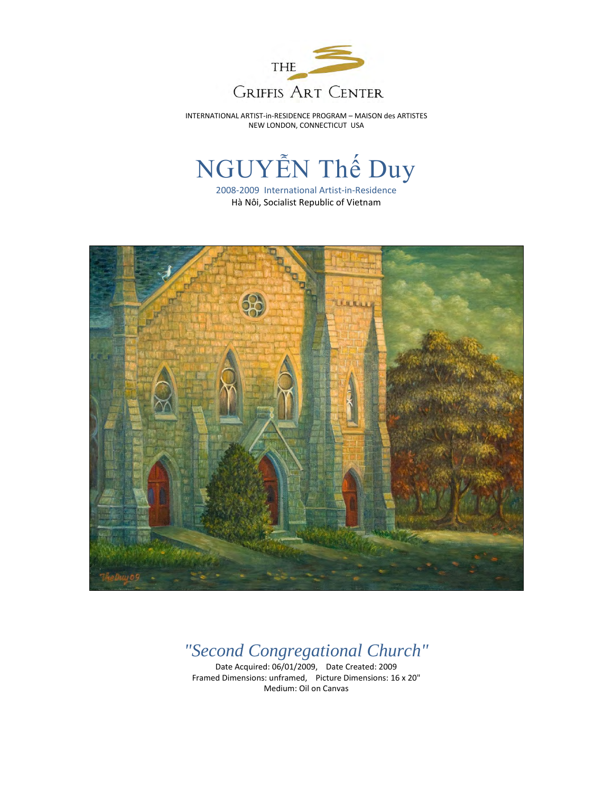

INTERNATIONAL ARTIST-in-RESIDENCE PROGRAM – MAISON des ARTISTES NEW LONDON, CONNECTICUT USA

## NGUYỄN Thế Duy

2008-2009 International Artist-in-Residence Hà Nôi, Socialist Republic of Vietnam



## *"Second Congregational Church"*

Date Acquired: 06/01/2009, Date Created: 2009 Framed Dimensions: unframed, Picture Dimensions: 16 x 20" Medium: Oil on Canvas